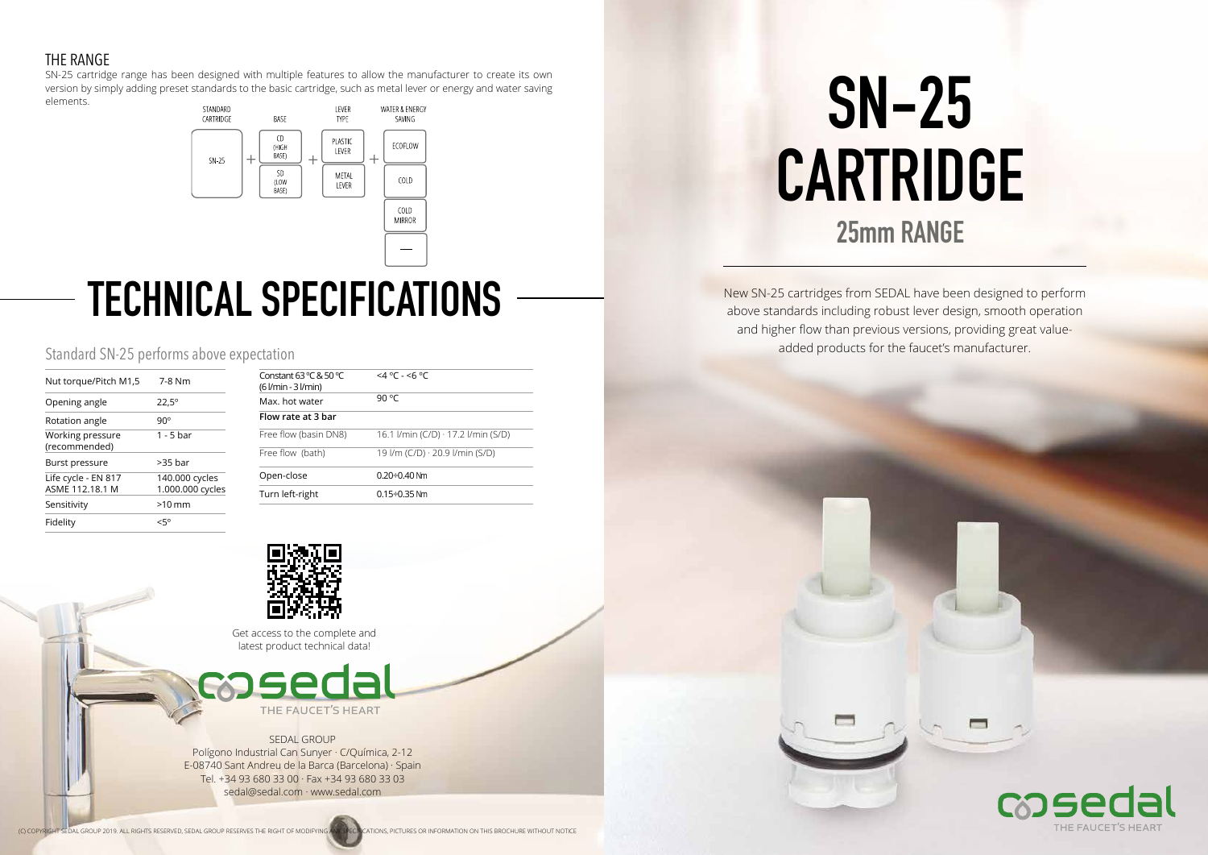New SN-25 cartridges from SEDAL have been designed to perform above standards including robust lever design, smooth operation and higher flow than previous versions, providing great valueadded products for the faucet's manufacturer.

**SN-25 CARTRIDGE 25mm RANGE**





| Nut torque/Pitch M1,5                  | 7-8 Nm                             |
|----------------------------------------|------------------------------------|
| Opening angle                          | $22.5^{\circ}$                     |
| Rotation angle                         | $90^{\circ}$                       |
| Working pressure<br>(recommended)      | 1 - 5 bar                          |
| Burst pressure                         | $>35$ bar                          |
| Life cycle - EN 817<br>ASME 112.18.1 M | 140.000 cycles<br>1.000.000 cycles |
| Sensitivity                            | $>10$ mm                           |
| Fidelity                               | 50>                                |

# **TECHNICAL SPECIFICATIONS**

## Standard SN-25 performs above expectation

| Constant 63 °C & 50 °C<br>$(6$ $l/min - 3$ $l/min)$ | $<$ 4 °C - <6 °C                          |
|-----------------------------------------------------|-------------------------------------------|
| Max, hot water                                      | 90 °C                                     |
| Flow rate at 3 bar                                  |                                           |
| Free flow (basin DN8)                               | 16.1 I/min (C/D) $\cdot$ 17.2 I/min (S/D) |
| Free flow (bath)                                    | 19 l/m (C/D) $\cdot$ 20.9 l/min (S/D)     |
| Open-close                                          | 0.20÷0.40 Nm                              |
| Turn left-right                                     | $0.15 \div 0.35$ Nm                       |



### THE RANGE

SN-25 cartridge range has been designed with multiple features to allow the manufacturer to create its own version by simply adding preset standards to the basic cartridge, such as metal lever or energy and water saving elements.



#### SEDAL GROUP

Polígono Industrial Can Sunyer · C/Química, 2-12 E-08740 Sant Andreu de la Barca (Barcelona) · Spain Tel. +34 93 680 33 00 · Fax +34 93 680 33 03 sedal@sedal.com · www.sedal.com

Get access to the complete and latest product technical data!



THE FAUCET'S HEART